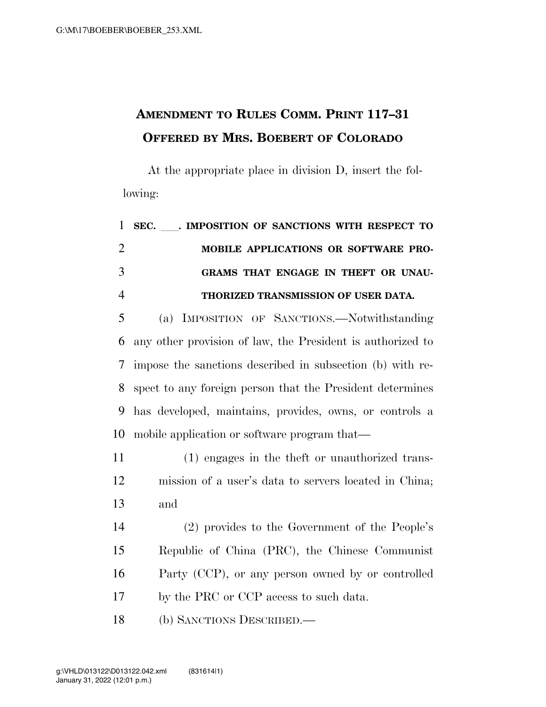## **AMENDMENT TO RULES COMM. PRINT 117–31 OFFERED BY MRS. BOEBERT OF COLORADO**

At the appropriate place in division D, insert the following:

|                | 1 SEC. MPOSITION OF SANCTIONS WITH RESPECT TO |
|----------------|-----------------------------------------------|
| 2              | <b>MOBILE APPLICATIONS OR SOFTWARE PRO-</b>   |
| 3              | GRAMS THAT ENGAGE IN THEFT OR UNAU-           |
| $\overline{4}$ | THORIZED TRANSMISSION OF USER DATA.           |

 (a) IMPOSITION OF SANCTIONS.—Notwithstanding any other provision of law, the President is authorized to impose the sanctions described in subsection (b) with re- spect to any foreign person that the President determines has developed, maintains, provides, owns, or controls a mobile application or software program that—

 (1) engages in the theft or unauthorized trans- mission of a user's data to servers located in China; and

 (2) provides to the Government of the People's Republic of China (PRC), the Chinese Communist Party (CCP), or any person owned by or controlled by the PRC or CCP access to such data.

(b) SANCTIONS DESCRIBED.—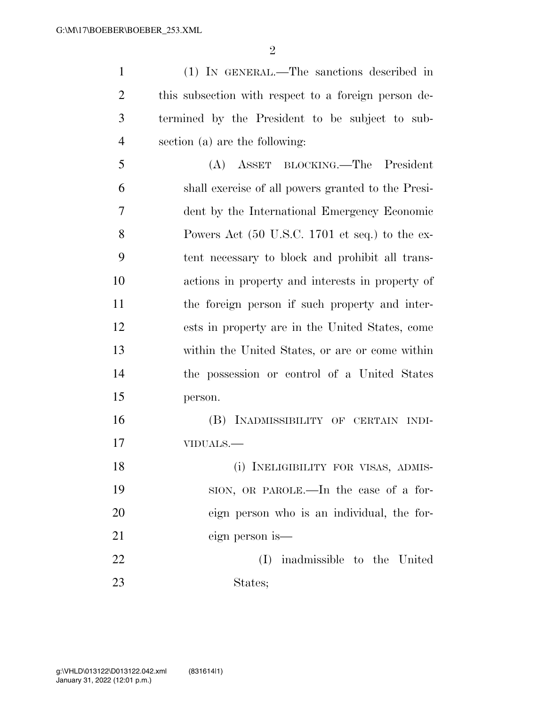$\mathfrak{D}$ 

 (1) IN GENERAL.—The sanctions described in this subsection with respect to a foreign person de- termined by the President to be subject to sub-section (a) are the following:

 (A) ASSET BLOCKING.—The President shall exercise of all powers granted to the Presi- dent by the International Emergency Economic Powers Act (50 U.S.C. 1701 et seq.) to the ex- tent necessary to block and prohibit all trans- actions in property and interests in property of the foreign person if such property and inter- ests in property are in the United States, come within the United States, or are or come within the possession or control of a United States person.

 (B) INADMISSIBILITY OF CERTAIN INDI-VIDUALS.—

 (i) INELIGIBILITY FOR VISAS, ADMIS- SION, OR PAROLE.—In the case of a for- eign person who is an individual, the for- eign person is— (I) inadmissible to the United

States;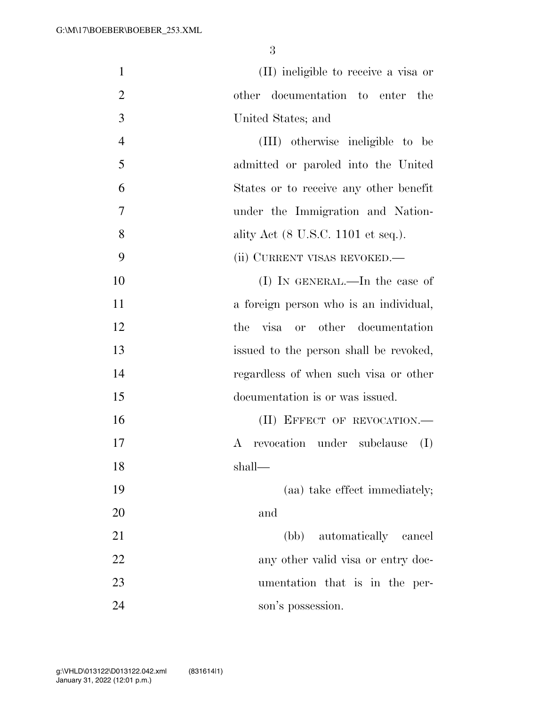| $\mathbf{1}$   | (II) ineligible to receive a visa or                  |
|----------------|-------------------------------------------------------|
| $\overline{2}$ | other documentation to enter<br>the                   |
| 3              | United States; and                                    |
| $\overline{4}$ | (III) otherwise ineligible to be                      |
| 5              | admitted or paroled into the United                   |
| 6              | States or to receive any other benefit                |
| 7              | under the Immigration and Nation-                     |
| 8              | ality Act $(8 \text{ U.S.C. } 1101 \text{ et seq.}).$ |
| 9              | (ii) CURRENT VISAS REVOKED.—                          |
| 10             | (I) IN GENERAL.—In the case of                        |
| 11             | a foreign person who is an individual,                |
| 12             | visa or other documentation<br>the                    |
| 13             | issued to the person shall be revoked,                |
| 14             | regardless of when such visa or other                 |
| 15             | documentation is or was issued.                       |
| 16             | (II) EFFECT OF REVOCATION.-                           |
| 17             | A revocation under subclause<br>(I)                   |
| 18             | shall—                                                |
| 19             | (aa) take effect immediately;                         |
| 20             | and                                                   |
| 21             | (bb) automatically cancel                             |
| 22             | any other valid visa or entry doc-                    |
| 23             | umentation that is in the per-                        |
| 24             | son's possession.                                     |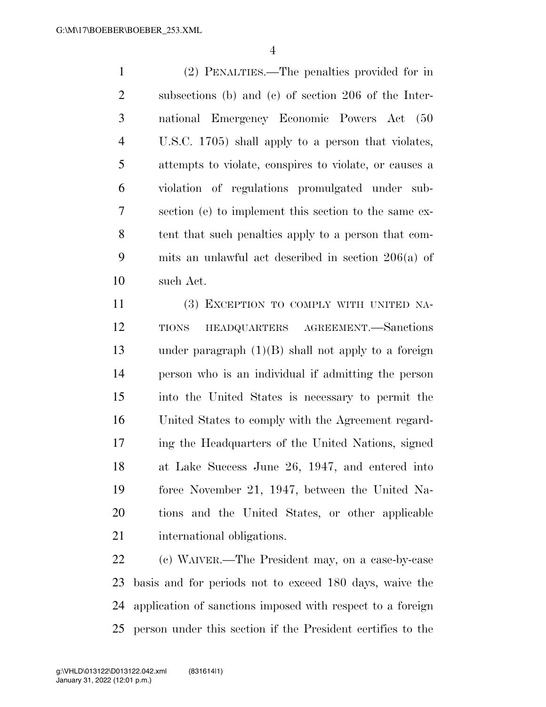(2) PENALTIES.—The penalties provided for in subsections (b) and (c) of section 206 of the Inter- national Emergency Economic Powers Act (50 U.S.C. 1705) shall apply to a person that violates, attempts to violate, conspires to violate, or causes a violation of regulations promulgated under sub- section (e) to implement this section to the same ex- tent that such penalties apply to a person that com- mits an unlawful act described in section 206(a) of such Act.

 (3) EXCEPTION TO COMPLY WITH UNITED NA- TIONS HEADQUARTERS AGREEMENT.—Sanctions under paragraph (1)(B) shall not apply to a foreign person who is an individual if admitting the person into the United States is necessary to permit the United States to comply with the Agreement regard- ing the Headquarters of the United Nations, signed at Lake Success June 26, 1947, and entered into force November 21, 1947, between the United Na- tions and the United States, or other applicable international obligations.

 (c) WAIVER.—The President may, on a case-by-case basis and for periods not to exceed 180 days, waive the application of sanctions imposed with respect to a foreign person under this section if the President certifies to the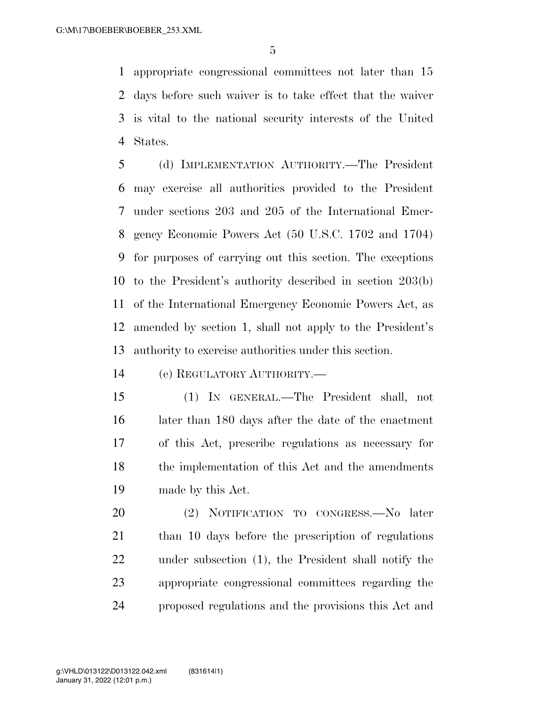appropriate congressional committees not later than 15 days before such waiver is to take effect that the waiver is vital to the national security interests of the United States.

 (d) IMPLEMENTATION AUTHORITY.—The President may exercise all authorities provided to the President under sections 203 and 205 of the International Emer- gency Economic Powers Act (50 U.S.C. 1702 and 1704) for purposes of carrying out this section. The exceptions to the President's authority described in section 203(b) of the International Emergency Economic Powers Act, as amended by section 1, shall not apply to the President's authority to exercise authorities under this section.

(e) REGULATORY AUTHORITY.—

 (1) IN GENERAL.—The President shall, not later than 180 days after the date of the enactment of this Act, prescribe regulations as necessary for 18 the implementation of this Act and the amendments made by this Act.

 (2) NOTIFICATION TO CONGRESS.—No later than 10 days before the prescription of regulations under subsection (1), the President shall notify the appropriate congressional committees regarding the proposed regulations and the provisions this Act and